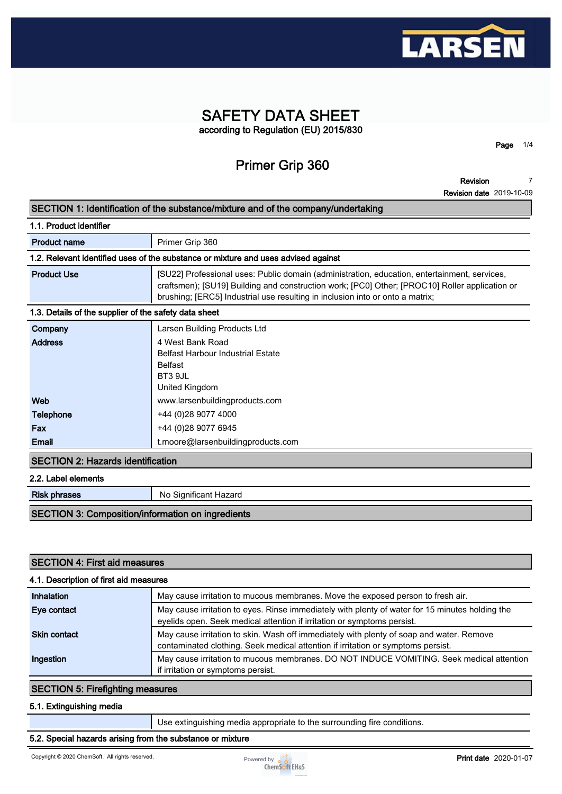

## **SAFETY DATA SHEET according to Regulation (EU) 2015/830**

## **Primer Grip 360**

**Revision 7**

**Page 1/4**

**Revision date 2019-10-09**

|                                                                                    | <b>Revision date</b> 2019-10-09                                                                                                                                                                                                                                                 |  |  |  |
|------------------------------------------------------------------------------------|---------------------------------------------------------------------------------------------------------------------------------------------------------------------------------------------------------------------------------------------------------------------------------|--|--|--|
| SECTION 1: Identification of the substance/mixture and of the company/undertaking  |                                                                                                                                                                                                                                                                                 |  |  |  |
| 1.1. Product identifier                                                            |                                                                                                                                                                                                                                                                                 |  |  |  |
| <b>Product name</b>                                                                | Primer Grip 360                                                                                                                                                                                                                                                                 |  |  |  |
| 1.2. Relevant identified uses of the substance or mixture and uses advised against |                                                                                                                                                                                                                                                                                 |  |  |  |
| <b>Product Use</b>                                                                 | [SU22] Professional uses: Public domain (administration, education, entertainment, services,<br>craftsmen); [SU19] Building and construction work; [PC0] Other; [PROC10] Roller application or<br>brushing; [ERC5] Industrial use resulting in inclusion into or onto a matrix; |  |  |  |
|                                                                                    | 1.3. Details of the supplier of the safety data sheet                                                                                                                                                                                                                           |  |  |  |
| Company                                                                            | Larsen Building Products Ltd                                                                                                                                                                                                                                                    |  |  |  |
| <b>Address</b>                                                                     | 4 West Bank Road<br><b>Belfast Harbour Industrial Estate</b><br><b>Belfast</b><br>BT3 9JL<br>United Kingdom                                                                                                                                                                     |  |  |  |
| Web                                                                                | www.larsenbuildingproducts.com                                                                                                                                                                                                                                                  |  |  |  |
| Telephone                                                                          | +44 (0)28 9077 4000                                                                                                                                                                                                                                                             |  |  |  |
| Fax                                                                                | +44 (0)28 9077 6945                                                                                                                                                                                                                                                             |  |  |  |
| Email                                                                              | t.moore@larsenbuildingproducts.com                                                                                                                                                                                                                                              |  |  |  |
| <b>SECTION 2: Hazards identification</b>                                           |                                                                                                                                                                                                                                                                                 |  |  |  |
| 2.2. Label elements                                                                |                                                                                                                                                                                                                                                                                 |  |  |  |
| <b>Risk phrases</b>                                                                | No Significant Hazard                                                                                                                                                                                                                                                           |  |  |  |
| C                                                                                  | tat and the former water of the control of the state                                                                                                                                                                                                                            |  |  |  |

#### **SECTION 3: Composition/information on ingredients**

| <b>SECTION 4: First aid measures</b><br>4.1. Description of first aid measures |                                                                                                                                                                              |  |  |  |
|--------------------------------------------------------------------------------|------------------------------------------------------------------------------------------------------------------------------------------------------------------------------|--|--|--|
|                                                                                |                                                                                                                                                                              |  |  |  |
| Eye contact                                                                    | May cause irritation to eyes. Rinse immediately with plenty of water for 15 minutes holding the<br>eyelids open. Seek medical attention if irritation or symptoms persist.   |  |  |  |
| <b>Skin contact</b>                                                            | May cause irritation to skin. Wash off immediately with plenty of soap and water. Remove<br>contaminated clothing. Seek medical attention if irritation or symptoms persist. |  |  |  |
| Ingestion                                                                      | May cause irritation to mucous membranes. DO NOT INDUCE VOMITING. Seek medical attention<br>if irritation or symptoms persist.                                               |  |  |  |

### **SECTION 5: Firefighting measures**

### **5.1. Extinguishing media**

**Use extinguishing media appropriate to the surrounding fire conditions.**

#### **5.2. Special hazards arising from the substance or mixture**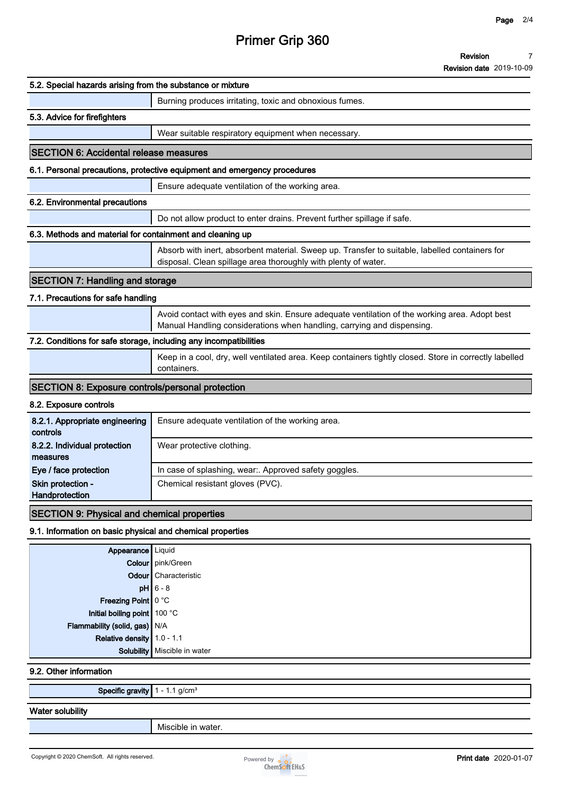# **Primer Grip 360**

**Revision 7**

**Revision date 2019-10-09**

| 5.2. Special hazards arising from the substance or mixture        |                                                                                                                                                                         |
|-------------------------------------------------------------------|-------------------------------------------------------------------------------------------------------------------------------------------------------------------------|
|                                                                   | Burning produces irritating, toxic and obnoxious fumes.                                                                                                                 |
| 5.3. Advice for firefighters                                      |                                                                                                                                                                         |
|                                                                   | Wear suitable respiratory equipment when necessary.                                                                                                                     |
| <b>SECTION 6: Accidental release measures</b>                     |                                                                                                                                                                         |
|                                                                   | 6.1. Personal precautions, protective equipment and emergency procedures                                                                                                |
|                                                                   | Ensure adequate ventilation of the working area.                                                                                                                        |
| 6.2. Environmental precautions                                    |                                                                                                                                                                         |
|                                                                   | Do not allow product to enter drains. Prevent further spillage if safe.                                                                                                 |
| 6.3. Methods and material for containment and cleaning up         |                                                                                                                                                                         |
|                                                                   | Absorb with inert, absorbent material. Sweep up. Transfer to suitable, labelled containers for<br>disposal. Clean spillage area thoroughly with plenty of water.        |
| <b>SECTION 7: Handling and storage</b>                            |                                                                                                                                                                         |
| 7.1. Precautions for safe handling                                |                                                                                                                                                                         |
|                                                                   | Avoid contact with eyes and skin. Ensure adequate ventilation of the working area. Adopt best<br>Manual Handling considerations when handling, carrying and dispensing. |
| 7.2. Conditions for safe storage, including any incompatibilities |                                                                                                                                                                         |
|                                                                   | Keep in a cool, dry, well ventilated area. Keep containers tightly closed. Store in correctly labelled<br>containers.                                                   |
| <b>SECTION 8: Exposure controls/personal protection</b>           |                                                                                                                                                                         |
| 8.2. Exposure controls                                            |                                                                                                                                                                         |
| 8.2.1. Appropriate engineering<br>controls                        | Ensure adequate ventilation of the working area.                                                                                                                        |
| 8.2.2. Individual protection<br>measures                          | Wear protective clothing.                                                                                                                                               |
| Eye / face protection                                             | In case of splashing, wear:. Approved safety goggles.                                                                                                                   |
| Skin protection -<br>Handprotection                               | Chemical resistant gloves (PVC).                                                                                                                                        |
| <b>SECTION 9: Physical and chemical properties</b>                |                                                                                                                                                                         |
| 9.1. Information on basic physical and chemical properties        |                                                                                                                                                                         |
| Appearance   Liquid                                               |                                                                                                                                                                         |
|                                                                   | Colour   pink/Green                                                                                                                                                     |
|                                                                   | <b>Odour</b> Characteristic                                                                                                                                             |
|                                                                   | $pH$ 6 - 8                                                                                                                                                              |
| Freezing Point 0 °C                                               |                                                                                                                                                                         |
| Initial boiling point 100 °C                                      |                                                                                                                                                                         |

**Relative density 1.0 - 1.1 Solubility Miscible in water**

**Flammability (solid, gas) N/A**

**9.2. Other information**

**Specific gravity 1 - 1.1 g/cm³**

### **Water solubility**

**Miscible in water.**

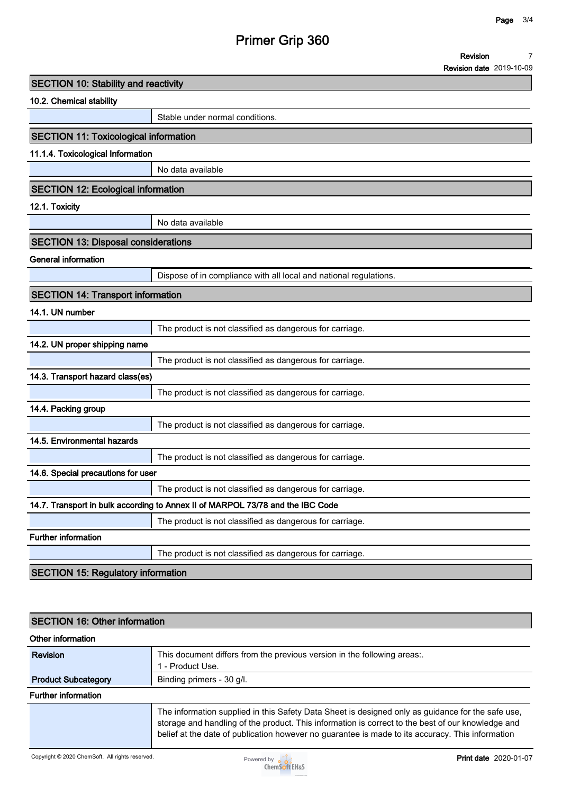**7**

**Revision**

# **Primer Grip 360**

|                                              |                                                                                | <b>Revision date 2019-10-09</b> |
|----------------------------------------------|--------------------------------------------------------------------------------|---------------------------------|
| <b>SECTION 10: Stability and reactivity</b>  |                                                                                |                                 |
| 10.2. Chemical stability                     |                                                                                |                                 |
|                                              | Stable under normal conditions.                                                |                                 |
| <b>SECTION 11: Toxicological information</b> |                                                                                |                                 |
| 11.1.4. Toxicological Information            |                                                                                |                                 |
|                                              | No data available                                                              |                                 |
| <b>SECTION 12: Ecological information</b>    |                                                                                |                                 |
| 12.1. Toxicity                               |                                                                                |                                 |
|                                              | No data available                                                              |                                 |
| <b>SECTION 13: Disposal considerations</b>   |                                                                                |                                 |
| <b>General information</b>                   |                                                                                |                                 |
|                                              | Dispose of in compliance with all local and national regulations.              |                                 |
| <b>SECTION 14: Transport information</b>     |                                                                                |                                 |
| 14.1. UN number                              |                                                                                |                                 |
|                                              | The product is not classified as dangerous for carriage.                       |                                 |
| 14.2. UN proper shipping name                |                                                                                |                                 |
|                                              | The product is not classified as dangerous for carriage.                       |                                 |
| 14.3. Transport hazard class(es)             |                                                                                |                                 |
|                                              | The product is not classified as dangerous for carriage.                       |                                 |
| 14.4. Packing group                          |                                                                                |                                 |
|                                              | The product is not classified as dangerous for carriage.                       |                                 |
| 14.5. Environmental hazards                  |                                                                                |                                 |
|                                              | The product is not classified as dangerous for carriage.                       |                                 |
| 14.6. Special precautions for user           |                                                                                |                                 |
|                                              | The product is not classified as dangerous for carriage.                       |                                 |
|                                              | 14.7. Transport in bulk according to Annex II of MARPOL 73/78 and the IBC Code |                                 |
|                                              | The product is not classified as dangerous for carriage.                       |                                 |
| Further information                          |                                                                                |                                 |
|                                              | The product is not classified as dangerous for carriage.                       |                                 |
| <b>SECTION 15: Regulatory information</b>    |                                                                                |                                 |

| <b>SECTION 16: Other information</b><br>Other information |                                                                                                                                                                                                                                                                                                            |  |  |  |
|-----------------------------------------------------------|------------------------------------------------------------------------------------------------------------------------------------------------------------------------------------------------------------------------------------------------------------------------------------------------------------|--|--|--|
|                                                           |                                                                                                                                                                                                                                                                                                            |  |  |  |
| <b>Product Subcategory</b>                                | Binding primers - 30 g/l.                                                                                                                                                                                                                                                                                  |  |  |  |
| <b>Further information</b>                                |                                                                                                                                                                                                                                                                                                            |  |  |  |
|                                                           | The information supplied in this Safety Data Sheet is designed only as guidance for the safe use,<br>storage and handling of the product. This information is correct to the best of our knowledge and<br>belief at the date of publication however no guarantee is made to its accuracy. This information |  |  |  |